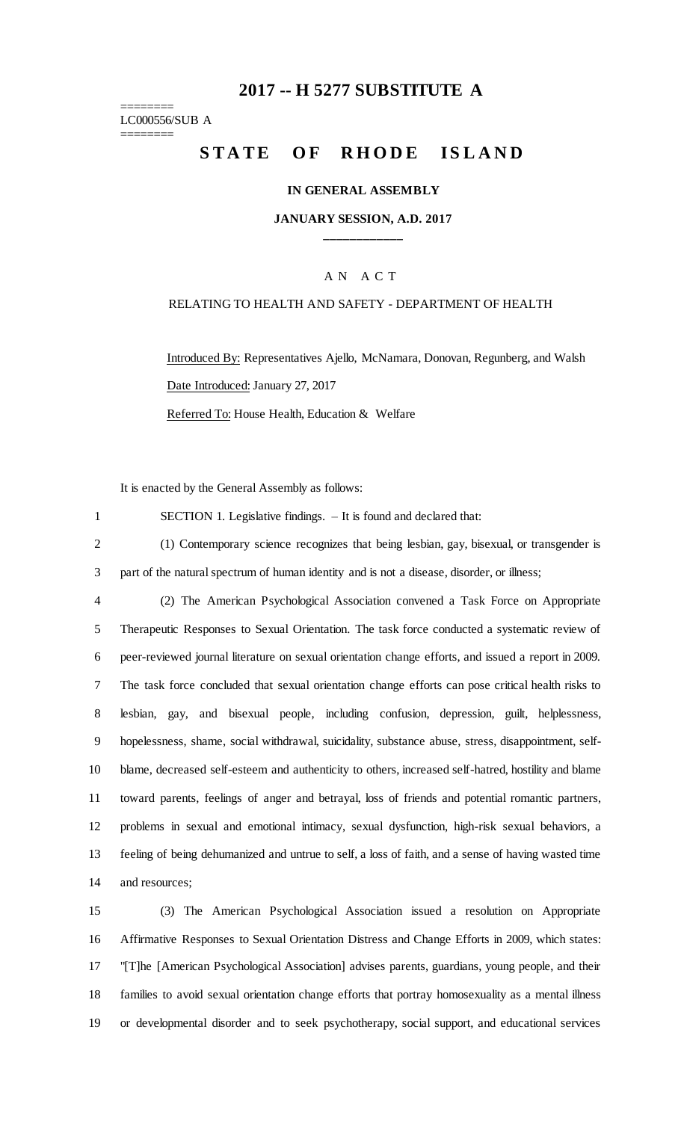## **-- H 5277 SUBSTITUTE A**

======== LC000556/SUB A

========

# STATE OF RHODE ISLAND

#### **IN GENERAL ASSEMBLY**

#### **JANUARY SESSION, A.D. 2017 \_\_\_\_\_\_\_\_\_\_\_\_**

#### A N A C T

#### RELATING TO HEALTH AND SAFETY - DEPARTMENT OF HEALTH

Introduced By: Representatives Ajello, McNamara, Donovan, Regunberg, and Walsh Date Introduced: January 27, 2017

Referred To: House Health, Education & Welfare

It is enacted by the General Assembly as follows:

SECTION 1. Legislative findings. – It is found and declared that:

 (1) Contemporary science recognizes that being lesbian, gay, bisexual, or transgender is part of the natural spectrum of human identity and is not a disease, disorder, or illness;

 (2) The American Psychological Association convened a Task Force on Appropriate Therapeutic Responses to Sexual Orientation. The task force conducted a systematic review of peer-reviewed journal literature on sexual orientation change efforts, and issued a report in 2009. The task force concluded that sexual orientation change efforts can pose critical health risks to lesbian, gay, and bisexual people, including confusion, depression, guilt, helplessness, hopelessness, shame, social withdrawal, suicidality, substance abuse, stress, disappointment, self- blame, decreased self-esteem and authenticity to others, increased self-hatred, hostility and blame toward parents, feelings of anger and betrayal, loss of friends and potential romantic partners, problems in sexual and emotional intimacy, sexual dysfunction, high-risk sexual behaviors, a feeling of being dehumanized and untrue to self, a loss of faith, and a sense of having wasted time and resources;

 (3) The American Psychological Association issued a resolution on Appropriate Affirmative Responses to Sexual Orientation Distress and Change Efforts in 2009, which states: "[T]he [American Psychological Association] advises parents, guardians, young people, and their families to avoid sexual orientation change efforts that portray homosexuality as a mental illness or developmental disorder and to seek psychotherapy, social support, and educational services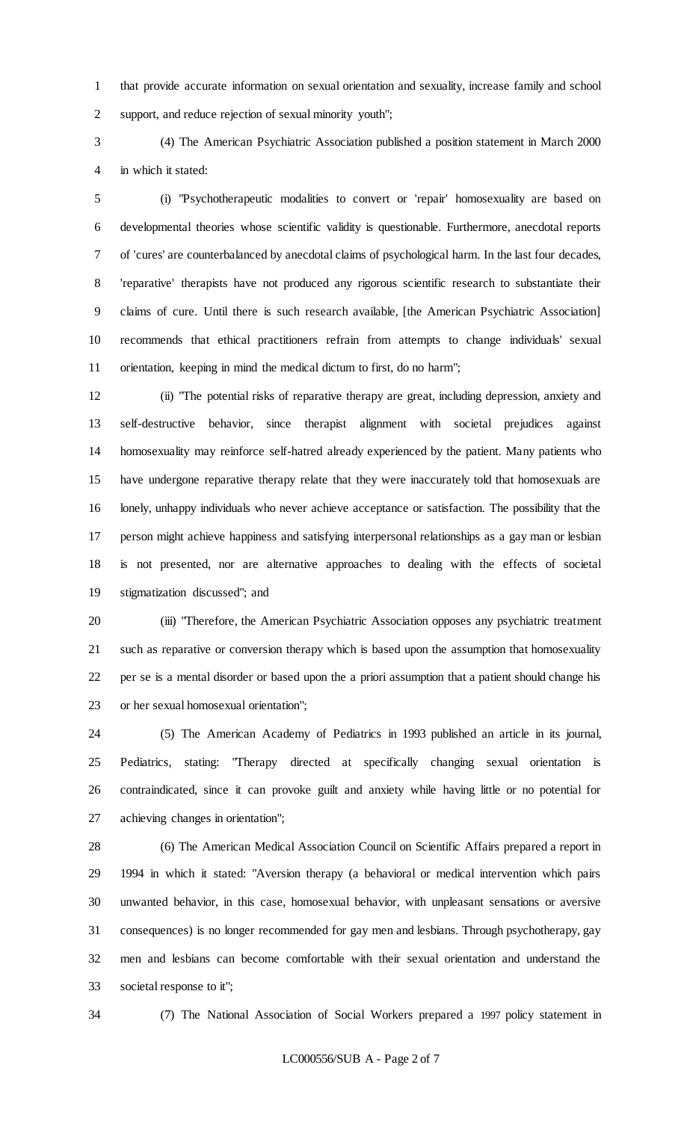that provide accurate information on sexual orientation and sexuality, increase family and school support, and reduce rejection of sexual minority youth";

 (4) The American Psychiatric Association published a position statement in March 2000 in which it stated:

 (i) "Psychotherapeutic modalities to convert or 'repair' homosexuality are based on developmental theories whose scientific validity is questionable. Furthermore, anecdotal reports of 'cures' are counterbalanced by anecdotal claims of psychological harm. In the last four decades, 'reparative' therapists have not produced any rigorous scientific research to substantiate their claims of cure. Until there is such research available, [the American Psychiatric Association] recommends that ethical practitioners refrain from attempts to change individuals' sexual orientation, keeping in mind the medical dictum to first, do no harm";

 (ii) "The potential risks of reparative therapy are great, including depression, anxiety and self-destructive behavior, since therapist alignment with societal prejudices against homosexuality may reinforce self-hatred already experienced by the patient. Many patients who have undergone reparative therapy relate that they were inaccurately told that homosexuals are lonely, unhappy individuals who never achieve acceptance or satisfaction. The possibility that the person might achieve happiness and satisfying interpersonal relationships as a gay man or lesbian is not presented, nor are alternative approaches to dealing with the effects of societal stigmatization discussed"; and

 (iii) "Therefore, the American Psychiatric Association opposes any psychiatric treatment such as reparative or conversion therapy which is based upon the assumption that homosexuality per se is a mental disorder or based upon the a priori assumption that a patient should change his or her sexual homosexual orientation";

 (5) The American Academy of Pediatrics in 1993 published an article in its journal, Pediatrics, stating: "Therapy directed at specifically changing sexual orientation is contraindicated, since it can provoke guilt and anxiety while having little or no potential for achieving changes in orientation";

 (6) The American Medical Association Council on Scientific Affairs prepared a report in 1994 in which it stated: "Aversion therapy (a behavioral or medical intervention which pairs unwanted behavior, in this case, homosexual behavior, with unpleasant sensations or aversive consequences) is no longer recommended for gay men and lesbians. Through psychotherapy, gay men and lesbians can become comfortable with their sexual orientation and understand the societal response to it";

(7) The National Association of Social Workers prepared a 1997 policy statement in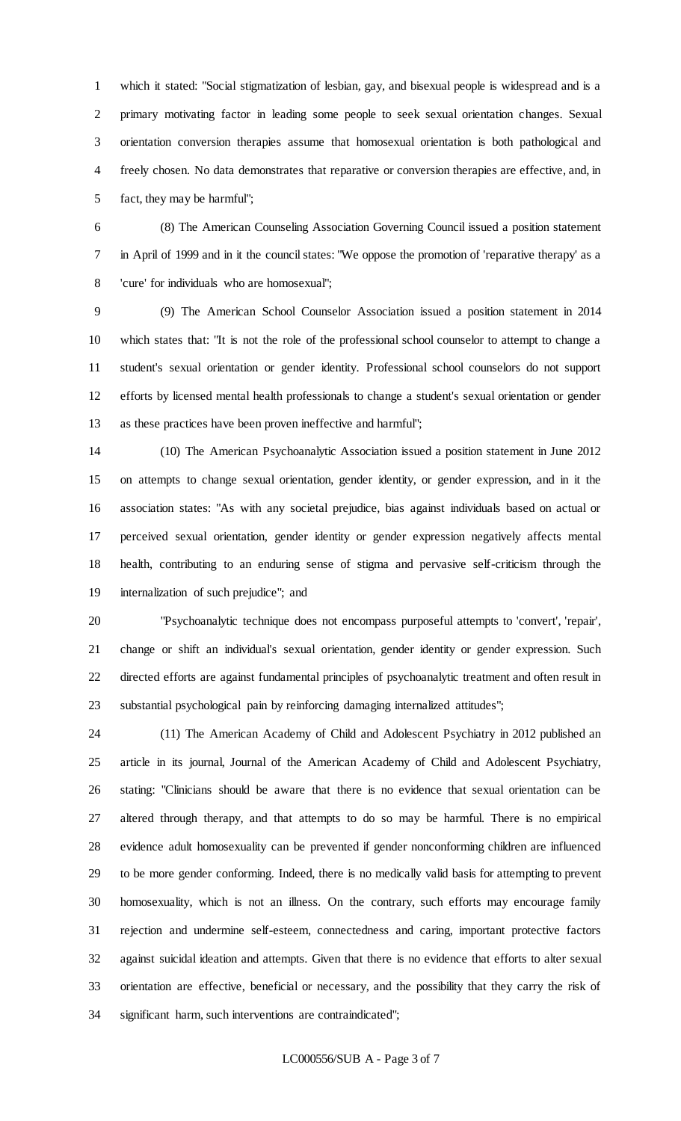which it stated: "Social stigmatization of lesbian, gay, and bisexual people is widespread and is a primary motivating factor in leading some people to seek sexual orientation changes. Sexual orientation conversion therapies assume that homosexual orientation is both pathological and freely chosen. No data demonstrates that reparative or conversion therapies are effective, and, in fact, they may be harmful";

 (8) The American Counseling Association Governing Council issued a position statement in April of 1999 and in it the council states: "We oppose the promotion of 'reparative therapy' as a 'cure' for individuals who are homosexual";

 (9) The American School Counselor Association issued a position statement in 2014 which states that: "It is not the role of the professional school counselor to attempt to change a student's sexual orientation or gender identity. Professional school counselors do not support efforts by licensed mental health professionals to change a student's sexual orientation or gender as these practices have been proven ineffective and harmful";

 (10) The American Psychoanalytic Association issued a position statement in June 2012 on attempts to change sexual orientation, gender identity, or gender expression, and in it the association states: "As with any societal prejudice, bias against individuals based on actual or perceived sexual orientation, gender identity or gender expression negatively affects mental health, contributing to an enduring sense of stigma and pervasive self-criticism through the internalization of such prejudice"; and

 "Psychoanalytic technique does not encompass purposeful attempts to 'convert', 'repair', change or shift an individual's sexual orientation, gender identity or gender expression. Such directed efforts are against fundamental principles of psychoanalytic treatment and often result in substantial psychological pain by reinforcing damaging internalized attitudes";

 (11) The American Academy of Child and Adolescent Psychiatry in 2012 published an article in its journal, Journal of the American Academy of Child and Adolescent Psychiatry, stating: "Clinicians should be aware that there is no evidence that sexual orientation can be altered through therapy, and that attempts to do so may be harmful. There is no empirical evidence adult homosexuality can be prevented if gender nonconforming children are influenced to be more gender conforming. Indeed, there is no medically valid basis for attempting to prevent homosexuality, which is not an illness. On the contrary, such efforts may encourage family rejection and undermine self-esteem, connectedness and caring, important protective factors against suicidal ideation and attempts. Given that there is no evidence that efforts to alter sexual orientation are effective, beneficial or necessary, and the possibility that they carry the risk of significant harm, such interventions are contraindicated";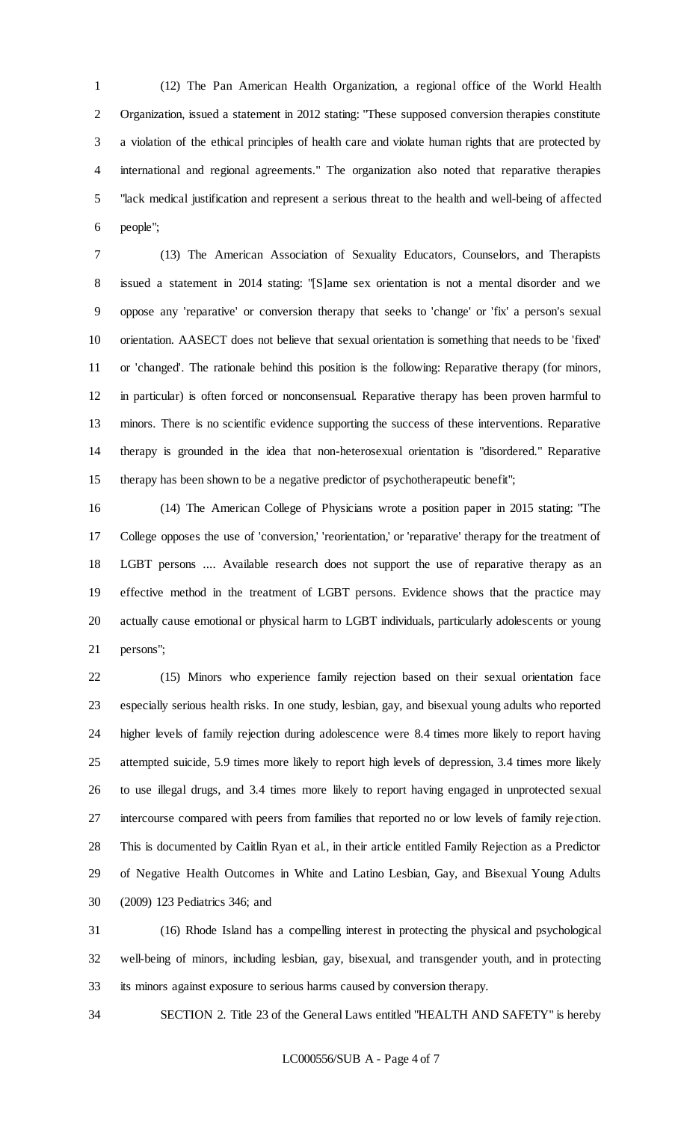(12) The Pan American Health Organization, a regional office of the World Health Organization, issued a statement in 2012 stating: "These supposed conversion therapies constitute a violation of the ethical principles of health care and violate human rights that are protected by international and regional agreements." The organization also noted that reparative therapies "lack medical justification and represent a serious threat to the health and well-being of affected people";

 (13) The American Association of Sexuality Educators, Counselors, and Therapists issued a statement in 2014 stating: "[S]ame sex orientation is not a mental disorder and we oppose any 'reparative' or conversion therapy that seeks to 'change' or 'fix' a person's sexual orientation. AASECT does not believe that sexual orientation is something that needs to be 'fixed' or 'changed'. The rationale behind this position is the following: Reparative therapy (for minors, in particular) is often forced or nonconsensual. Reparative therapy has been proven harmful to minors. There is no scientific evidence supporting the success of these interventions. Reparative therapy is grounded in the idea that non-heterosexual orientation is "disordered." Reparative therapy has been shown to be a negative predictor of psychotherapeutic benefit";

 (14) The American College of Physicians wrote a position paper in 2015 stating: "The College opposes the use of 'conversion,' 'reorientation,' or 'reparative' therapy for the treatment of LGBT persons .... Available research does not support the use of reparative therapy as an effective method in the treatment of LGBT persons. Evidence shows that the practice may actually cause emotional or physical harm to LGBT individuals, particularly adolescents or young persons";

 (15) Minors who experience family rejection based on their sexual orientation face especially serious health risks. In one study, lesbian, gay, and bisexual young adults who reported higher levels of family rejection during adolescence were 8.4 times more likely to report having attempted suicide, 5.9 times more likely to report high levels of depression, 3.4 times more likely to use illegal drugs, and 3.4 times more likely to report having engaged in unprotected sexual intercourse compared with peers from families that reported no or low levels of family rejection. This is documented by Caitlin Ryan et al., in their article entitled Family Rejection as a Predictor of Negative Health Outcomes in White and Latino Lesbian, Gay, and Bisexual Young Adults (2009) 123 Pediatrics 346; and

 (16) Rhode Island has a compelling interest in protecting the physical and psychological well-being of minors, including lesbian, gay, bisexual, and transgender youth, and in protecting its minors against exposure to serious harms caused by conversion therapy.

SECTION 2. Title 23 of the General Laws entitled "HEALTH AND SAFETY" is hereby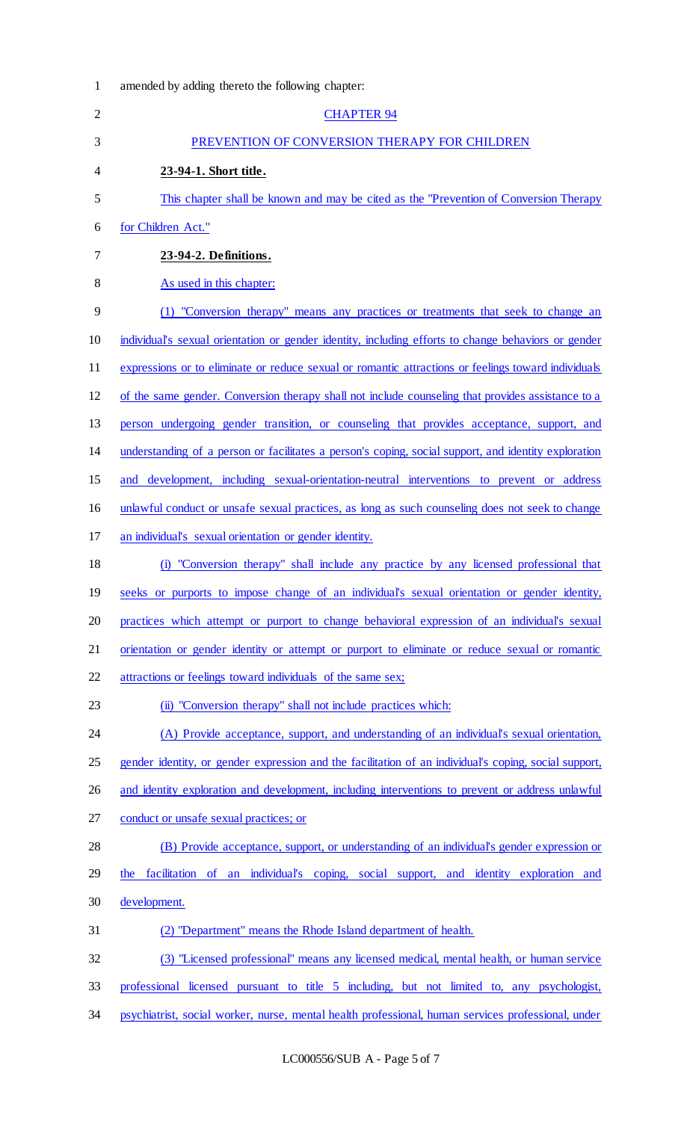| $\mathbf{1}$   | amended by adding thereto the following chapter:                                                      |
|----------------|-------------------------------------------------------------------------------------------------------|
| $\overline{2}$ | <b>CHAPTER 94</b>                                                                                     |
| 3              | PREVENTION OF CONVERSION THERAPY FOR CHILDREN                                                         |
| 4              | 23-94-1. Short title.                                                                                 |
| 5              | This chapter shall be known and may be cited as the "Prevention of Conversion Therapy"                |
| 6              | for Children Act."                                                                                    |
| 7              | 23-94-2. Definitions.                                                                                 |
| 8              | As used in this chapter:                                                                              |
| 9              | (1) "Conversion therapy" means any practices or treatments that seek to change an                     |
| 10             | individual's sexual orientation or gender identity, including efforts to change behaviors or gender   |
| 11             | expressions or to eliminate or reduce sexual or romantic attractions or feelings toward individuals   |
| 12             | of the same gender. Conversion therapy shall not include counseling that provides assistance to a     |
| 13             | person undergoing gender transition, or counseling that provides acceptance, support, and             |
| 14             | understanding of a person or facilitates a person's coping, social support, and identity exploration  |
| 15             | development, including sexual-orientation-neutral interventions to prevent or address<br>and          |
| 16             | unlawful conduct or unsafe sexual practices, as long as such counseling does not seek to change       |
| 17             | an individual's sexual orientation or gender identity.                                                |
| 18             | (i) "Conversion therapy" shall include any practice by any licensed professional that                 |
| 19             | seeks or purports to impose change of an individual's sexual orientation or gender identity,          |
| 20             | practices which attempt or purport to change behavioral expression of an individual's sexual          |
| 21             | orientation or gender identity or attempt or purport to eliminate or reduce sexual or romantic        |
| 22             | attractions or feelings toward individuals of the same sex;                                           |
| 23             | (ii) "Conversion therapy" shall not include practices which:                                          |
| 24             | (A) Provide acceptance, support, and understanding of an individual's sexual orientation,             |
| 25             | gender identity, or gender expression and the facilitation of an individual's coping, social support, |
| 26             | and identity exploration and development, including interventions to prevent or address unlawful      |
| 27             | conduct or unsafe sexual practices; or                                                                |
| 28             | (B) Provide acceptance, support, or understanding of an individual's gender expression or             |
| 29             | facilitation of an individual's coping, social support, and identity exploration and<br>the           |
| 30             | development.                                                                                          |
| 31             | (2) "Department" means the Rhode Island department of health.                                         |
| 32             | (3) "Licensed professional" means any licensed medical, mental health, or human service               |
| 33             | professional licensed pursuant to title 5 including, but not limited to, any psychologist,            |
| 34             | psychiatrist, social worker, nurse, mental health professional, human services professional, under    |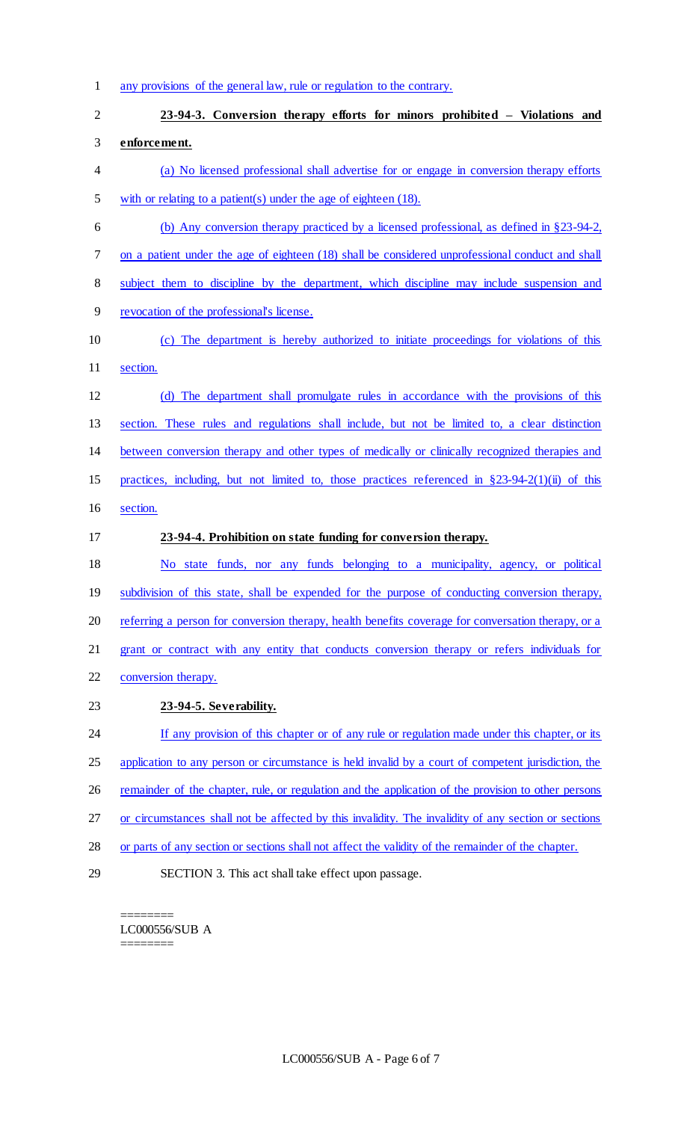1 any provisions of the general law, rule or regulation to the contrary.

|                | any provisions of the general law, rule of regulation to the contrary.                               |
|----------------|------------------------------------------------------------------------------------------------------|
| $\overline{2}$ | 23-94-3. Conversion therapy efforts for minors prohibited – Violations and                           |
| 3              | enforcement.                                                                                         |
| 4              | (a) No licensed professional shall advertise for or engage in conversion therapy efforts             |
| 5              | with or relating to a patient(s) under the age of eighteen $(18)$ .                                  |
| 6              | (b) Any conversion therapy practiced by a licensed professional, as defined in $\S 23-94-2$ ,        |
| 7              | on a patient under the age of eighteen (18) shall be considered unprofessional conduct and shall     |
| $8\,$          | subject them to discipline by the department, which discipline may include suspension and            |
| 9              | revocation of the professional's license.                                                            |
| 10             | (c) The department is hereby authorized to initiate proceedings for violations of this               |
| 11             | section.                                                                                             |
| 12             | (d) The department shall promulgate rules in accordance with the provisions of this                  |
| 13             | section. These rules and regulations shall include, but not be limited to, a clear distinction       |
| 14             | between conversion therapy and other types of medically or clinically recognized therapies and       |
| 15             | practices, including, but not limited to, those practices referenced in $\S 23-94-2(1)(ii)$ of this  |
| 16             | section.                                                                                             |
| 17             | 23-94-4. Prohibition on state funding for conversion therapy.                                        |
| 18             | No state funds, nor any funds belonging to a municipality, agency, or political                      |
| 19             | subdivision of this state, shall be expended for the purpose of conducting conversion therapy,       |
| 20             | referring a person for conversion therapy, health benefits coverage for conversation therapy, or a   |
| 21             | grant or contract with any entity that conducts conversion therapy or refers individuals for         |
| 22             | conversion therapy.                                                                                  |
| 23             | 23-94-5. Severability.                                                                               |
| 24             | If any provision of this chapter or of any rule or regulation made under this chapter, or its        |
| 25             | application to any person or circumstance is held invalid by a court of competent jurisdiction, the  |
| 26             | remainder of the chapter, rule, or regulation and the application of the provision to other persons  |
| 27             | or circumstances shall not be affected by this invalidity. The invalidity of any section or sections |
| 28             | or parts of any section or sections shall not affect the validity of the remainder of the chapter.   |
|                |                                                                                                      |

29 SECTION 3. This act shall take effect upon passage.

======== LC000556/SUB A ========